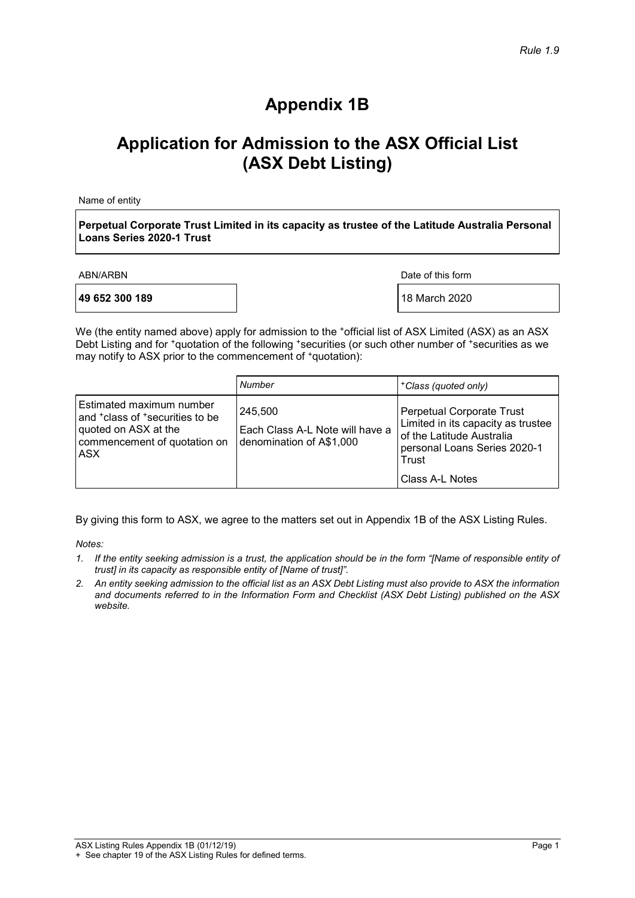# **Appendix 1B**

# **Application for Admission to the ASX Official List (ASX Debt Listing)**

Name of entity

**Perpetual Corporate Trust Limited in its capacity as trustee of the Latitude Australia Personal Loans Series 2020-1 Trust**

**49 652 300 189 18 March 2020** 

ABN/ARBN Date of this form

We (the entity named above) apply for admission to the +official list of ASX Limited (ASX) as an ASX Debt Listing and for  $*$ quotation of the following \*securities (or such other number of \*securities as we may notify to ASX prior to the commencement of  $*$ quotation):

|                                                                                                                                                     | Number                                                                 | <sup>+</sup> Class (quoted only)                                                                                                                         |
|-----------------------------------------------------------------------------------------------------------------------------------------------------|------------------------------------------------------------------------|----------------------------------------------------------------------------------------------------------------------------------------------------------|
| Estimated maximum number<br>and <sup>+</sup> class of <sup>+</sup> securities to be<br>quoted on ASX at the<br>commencement of quotation on<br>ASX. | 245.500<br>Each Class A-L Note will have a<br>denomination of A\$1,000 | Perpetual Corporate Trust<br>Limited in its capacity as trustee<br>of the Latitude Australia<br>personal Loans Series 2020-1<br>Trust<br>Class A-L Notes |

By giving this form to ASX, we agree to the matters set out in Appendix 1B of the ASX Listing Rules.

*Notes:*

- *1. If the entity seeking admission is a trust, the application should be in the form "[Name of responsible entity of trust] in its capacity as responsible entity of [Name of trust]".*
- *2. An entity seeking admission to the official list as an ASX Debt Listing must also provide to ASX the information and documents referred to in the Information Form and Checklist (ASX Debt Listing) published on the ASX website.*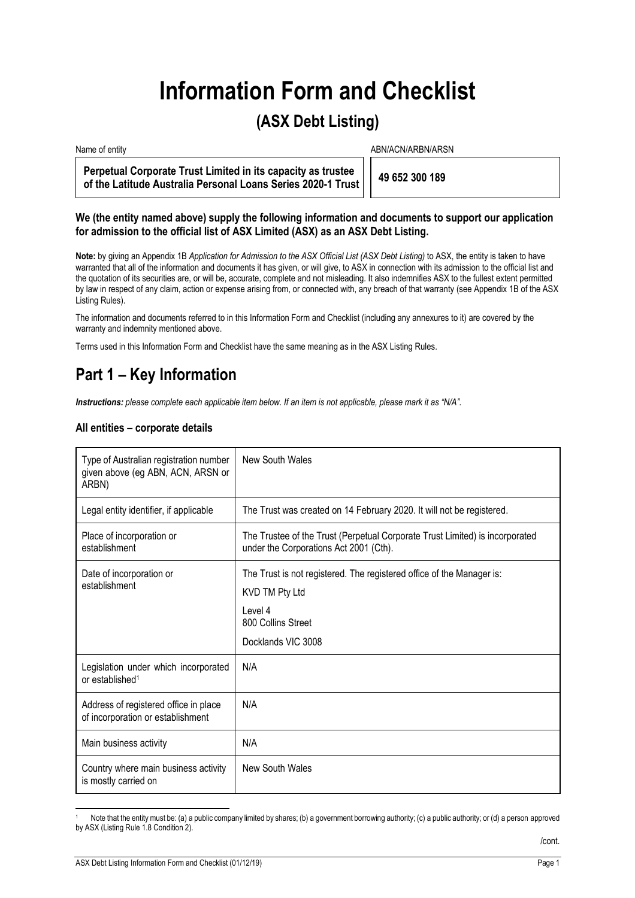# **Information Form and Checklist**

## **(ASX Debt Listing)**

Name of entity and the state of entity and the state of entity and the state of entity and the state of entity  $ABN/ACN/ARBN/ARSN$ 

**Perpetual Corporate Trust Limited in its capacity as trustee of the Latitude Australia Personal Loans Series 2020-1 Trust 49 652 300 189** 

### **We (the entity named above) supply the following information and documents to support our application for admission to the official list of ASX Limited (ASX) as an ASX Debt Listing.**

**Note:** by giving an Appendix 1B *Application for Admission to the ASX Official List (ASX Debt Listing)* to ASX, the entity is taken to have warranted that all of the information and documents it has given, or will give, to ASX in connection with its admission to the official list and the quotation of its securities are, or will be, accurate, complete and not misleading. It also indemnifies ASX to the fullest extent permitted by law in respect of any claim, action or expense arising from, or connected with, any breach of that warranty (see Appendix 1B of the ASX Listing Rules).

The information and documents referred to in this Information Form and Checklist (including any annexures to it) are covered by the warranty and indemnity mentioned above.

Terms used in this Information Form and Checklist have the same meaning as in the ASX Listing Rules.

# **Part 1 – Key Information**

*Instructions: please complete each applicable item below. If an item is not applicable, please mark it as "N/A".* 

### **All entities – corporate details**

| Type of Australian registration number<br>given above (eg ABN, ACN, ARSN or<br>ARBN) | New South Wales                                                                                                                                |
|--------------------------------------------------------------------------------------|------------------------------------------------------------------------------------------------------------------------------------------------|
| Legal entity identifier, if applicable                                               | The Trust was created on 14 February 2020. It will not be registered.                                                                          |
| Place of incorporation or<br>establishment                                           | The Trustee of the Trust (Perpetual Corporate Trust Limited) is incorporated<br>under the Corporations Act 2001 (Cth).                         |
| Date of incorporation or<br>establishment                                            | The Trust is not registered. The registered office of the Manager is:<br>KVD TM Pty Ltd<br>Level 4<br>800 Collins Street<br>Docklands VIC 3008 |
| Legislation under which incorporated<br>or established <sup>1</sup>                  | N/A                                                                                                                                            |
| Address of registered office in place<br>of incorporation or establishment           | N/A                                                                                                                                            |
| Main business activity                                                               | N/A                                                                                                                                            |
| Country where main business activity<br>is mostly carried on                         | New South Wales                                                                                                                                |

Note that the entity must be: (a) a public company limited by shares; (b) a government borrowing authority; (c) a public authority; or (d) a person approved by ASX (Listing Rule 1.8 Condition 2).

/cont.

1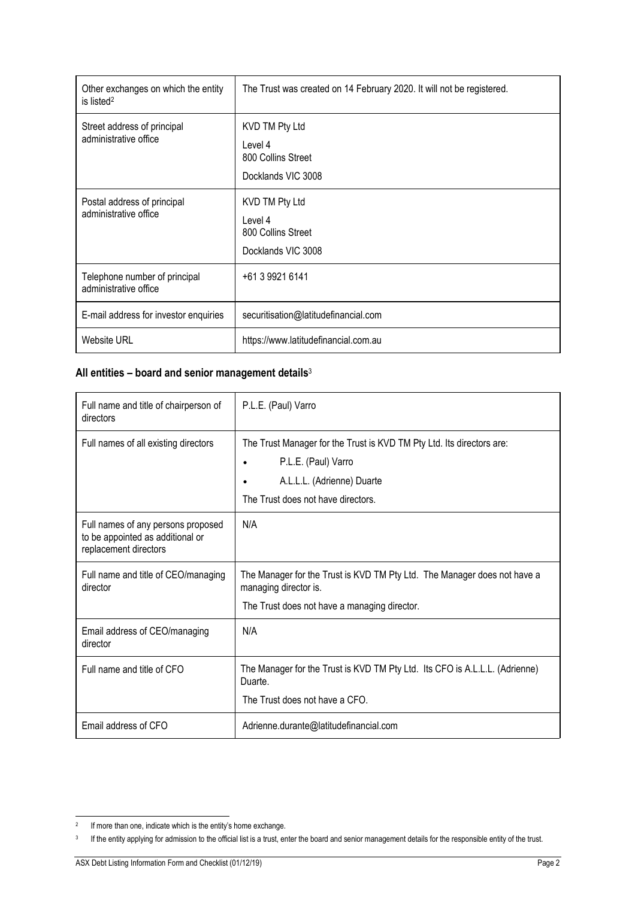| Other exchanges on which the entity<br>is listed <sup>2</sup> | The Trust was created on 14 February 2020. It will not be registered. |
|---------------------------------------------------------------|-----------------------------------------------------------------------|
| Street address of principal<br>administrative office          | KVD TM Pty Ltd<br>Level 4<br>800 Collins Street<br>Docklands VIC 3008 |
| Postal address of principal<br>administrative office          | KVD TM Pty Ltd<br>Level 4<br>800 Collins Street<br>Docklands VIC 3008 |
| Telephone number of principal<br>administrative office        | +61 3 9921 6141                                                       |
| E-mail address for investor enquiries                         | securitisation@latitudefinancial.com                                  |
| <b>Website URL</b>                                            | https://www.latitudefinancial.com.au                                  |

### **All entities – board and senior management details**<sup>3</sup>

| Full name and title of chairperson of<br>directors                                              | P.L.E. (Paul) Varro                                                                                                                                              |
|-------------------------------------------------------------------------------------------------|------------------------------------------------------------------------------------------------------------------------------------------------------------------|
| Full names of all existing directors                                                            | The Trust Manager for the Trust is KVD TM Pty Ltd. Its directors are:<br>P.L.E. (Paul) Varro<br>A.L.L.L. (Adrienne) Duarte<br>The Trust does not have directors. |
| Full names of any persons proposed<br>to be appointed as additional or<br>replacement directors | N/A                                                                                                                                                              |
| Full name and title of CEO/managing<br>director                                                 | The Manager for the Trust is KVD TM Pty Ltd. The Manager does not have a<br>managing director is.<br>The Trust does not have a managing director.                |
| Email address of CEO/managing<br>director                                                       | N/A                                                                                                                                                              |
| Full name and title of CFO                                                                      | The Manager for the Trust is KVD TM Pty Ltd. Its CFO is A.L.L.L. (Adrienne)<br>Duarte.<br>The Trust does not have a CFO.                                         |
| Email address of CFO                                                                            | Adrienne.durante@latitudefinancial.com                                                                                                                           |

j <sup>2</sup> If more than one, indicate which is the entity's home exchange.

<sup>&</sup>lt;sup>3</sup> If the entity applying for admission to the official list is a trust, enter the board and senior management details for the responsible entity of the trust.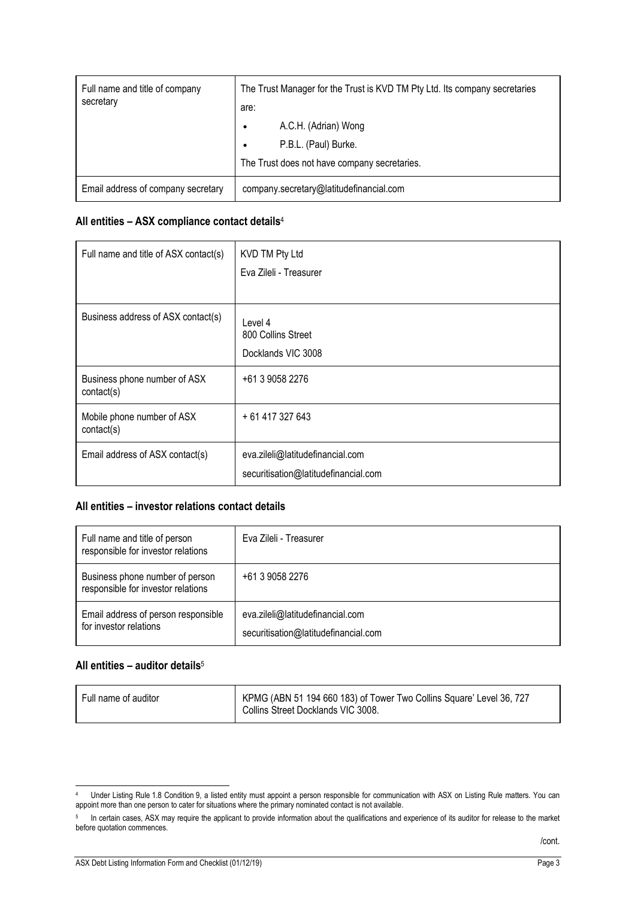| Full name and title of company<br>secretary | The Trust Manager for the Trust is KVD TM Pty Ltd. Its company secretaries<br>are: |
|---------------------------------------------|------------------------------------------------------------------------------------|
|                                             | A.C.H. (Adrian) Wong                                                               |
|                                             | P.B.L. (Paul) Burke.                                                               |
|                                             | The Trust does not have company secretaries.                                       |
| Email address of company secretary          | company.secretary@latitudefinancial.com                                            |

### **All entities – ASX compliance contact details**<sup>4</sup>

| Full name and title of ASX contact(s)      | KVD TM Pty Ltd<br>Eva Zileli - Treasurer                                 |
|--------------------------------------------|--------------------------------------------------------------------------|
| Business address of ASX contact(s)         | Level 4<br>800 Collins Street<br>Docklands VIC 3008                      |
| Business phone number of ASX<br>contact(s) | +61 3 9058 2276                                                          |
| Mobile phone number of ASX<br>contact(s)   | + 61 417 327 643                                                         |
| Email address of ASX contact(s)            | eva.zileli@latitudefinancial.com<br>securitisation@latitudefinancial.com |

### **All entities – investor relations contact details**

| Full name and title of person<br>responsible for investor relations   | Eva Zileli - Treasurer                                                   |
|-----------------------------------------------------------------------|--------------------------------------------------------------------------|
| Business phone number of person<br>responsible for investor relations | +61 3 9058 2276                                                          |
| Email address of person responsible<br>for investor relations         | eva.zileli@latitudefinancial.com<br>securitisation@latitudefinancial.com |

### **All entities – auditor details**<sup>5</sup>

| Full name of auditor | KPMG (ABN 51 194 660 183) of Tower Two Collins Square' Level 36, 727<br>Collins Street Docklands VIC 3008. |
|----------------------|------------------------------------------------------------------------------------------------------------|
|                      |                                                                                                            |

<sup>1</sup> 4 Under Listing Rule 1.8 Condition 9, a listed entity must appoint a person responsible for communication with ASX on Listing Rule matters. You can appoint more than one person to cater for situations where the primary nominated contact is not available.

<sup>5</sup> In certain cases, ASX may require the applicant to provide information about the qualifications and experience of its auditor for release to the market before quotation commences.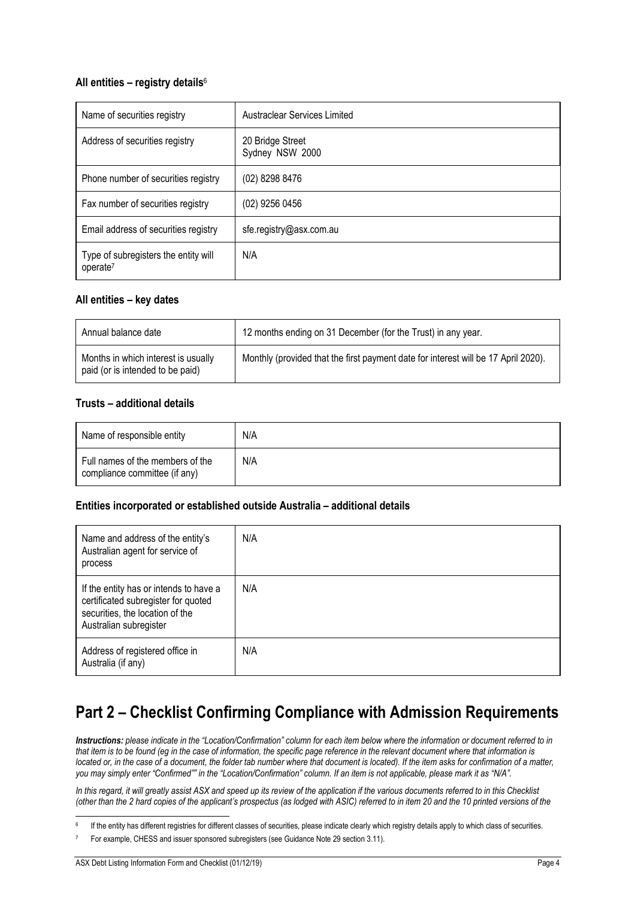### **All entities – registry details**<sup>6</sup>

| Name of securities registry                                  | Austraclear Services Limited        |
|--------------------------------------------------------------|-------------------------------------|
| Address of securities registry                               | 20 Bridge Street<br>Sydney NSW 2000 |
| Phone number of securities registry                          | (02) 8298 8476                      |
| Fax number of securities registry                            | (02) 9256 0456                      |
| Email address of securities registry                         | sfe.registry@asx.com.au             |
| Type of subregisters the entity will<br>operate <sup>7</sup> | N/A                                 |

### **All entities – key dates**

| Annual balance date                                                     | 12 months ending on 31 December (for the Trust) in any year.                       |
|-------------------------------------------------------------------------|------------------------------------------------------------------------------------|
| Months in which interest is usually<br>paid (or is intended to be paid) | Monthly (provided that the first payment date for interest will be 17 April 2020). |

### **Trusts – additional details**

| Name of responsible entity                                        | N/A |
|-------------------------------------------------------------------|-----|
| Full names of the members of the<br>compliance committee (if any) | N/A |

### **Entities incorporated or established outside Australia – additional details**

| Name and address of the entity's<br>Australian agent for service of<br>process                                                             | N/A |
|--------------------------------------------------------------------------------------------------------------------------------------------|-----|
| If the entity has or intends to have a<br>certificated subregister for quoted<br>securities, the location of the<br>Australian subregister | N/A |
| Address of registered office in<br>Australia (if any)                                                                                      | N/A |

# **Part 2 – Checklist Confirming Compliance with Admission Requirements**

*Instructions: please indicate in the "Location/Confirmation" column for each item below where the information or document referred to in that item is to be found (eg in the case of information, the specific page reference in the relevant document where that information is located or, in the case of a document, the folder tab number where that document is located). If the item asks for confirmation of a matter, you may simply enter "Confirmed"" in the "Location/Confirmation" column. If an item is not applicable, please mark it as "N/A".*

In this regard, it will greatly assist ASX and speed up its review of the application if the various documents referred to in this Checklist *(other than the 2 hard copies of the applicant's prospectus (as lodged with ASIC) referred to in item 20 and the 10 printed versions of the* 

j If the entity has different registries for different classes of securities, please indicate clearly which registry details apply to which class of securities.

For example, CHESS and issuer sponsored subregisters (see Guidance Note 29 section 3.11).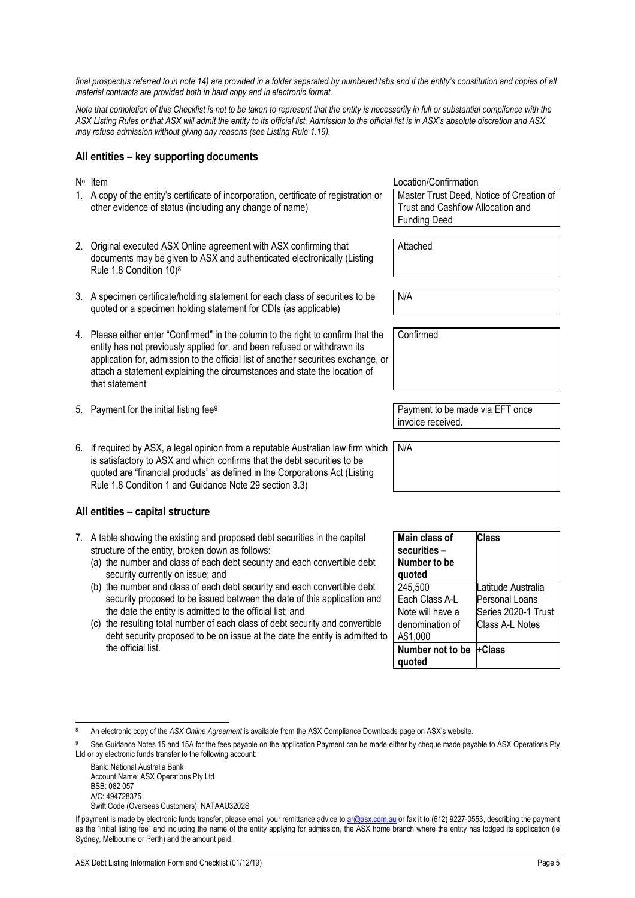final prospectus referred to in note 14) are provided in a folder separated by numbered tabs and if the entity's constitution and copies of all *material contracts are provided both in hard copy and in electronic format.* 

*Note that completion of this Checklist is not to be taken to represent that the entity is necessarily in full or substantial compliance with the ASX Listing Rules or that ASX will admit the entity to its official list. Admission to the official list is in ASX's absolute discretion and ASX may refuse admission without giving any reasons (see Listing Rule 1.19).* 

### **All entities – key supporting documents**

- 1. A copy of the entity's certificate of incorporation, certificate of registration or other evidence of status (including any change of name)
- 2. Original executed ASX Online agreement with ASX confirming that documents may be given to ASX and authenticated electronically (Listing Rule 1.8 Condition 10)8
- 3. A specimen certificate/holding statement for each class of securities to be quoted or a specimen holding statement for CDIs (as applicable)
- 4. Please either enter "Confirmed" in the column to the right to confirm that the entity has not previously applied for, and been refused or withdrawn its application for, admission to the official list of another securities exchange, or attach a statement explaining the circumstances and state the location of that statement
- 5. Payment for the initial listing fee<sup>9</sup> Payment to be made via EFT once
- 6. If required by ASX, a legal opinion from a reputable Australian law firm which is satisfactory to ASX and which confirms that the debt securities to be quoted are "financial products" as defined in the Corporations Act (Listing Rule 1.8 Condition 1 and Guidance Note 29 section 3.3)

### **All entities – capital structure**

- 7. A table showing the existing and proposed debt securities in the capital structure of the entity, broken down as follows:
	- (a) the number and class of each debt security and each convertible debt security currently on issue; and
	- (b) the number and class of each debt security and each convertible debt security proposed to be issued between the date of this application and the date the entity is admitted to the official list; and
	- (c) the resulting total number of each class of debt security and convertible debt security proposed to be on issue at the date the entity is admitted to the official list.

No Item Note that the United States of the United States of the United States Confirmation Master Trust Deed, Notice of Creation of Trust and Cashflow Allocation and Funding Deed

Attached

N/A

**Confirmed** 

invoice received.

N/A

| Main class of    | Class               |
|------------------|---------------------|
| securities –     |                     |
| Number to be     |                     |
| quoted           |                     |
| 245,500          | Latitude Australia  |
| Each Class A-L   | Personal Loans      |
| Note will have a | Series 2020-1 Trust |
| denomination of  | Class A-L Notes     |
| A\$1,000         |                     |
| Number not to be | +Class              |
| auoted           |                     |

Bank: National Australia Bank Account Name: ASX Operations Pty Ltd BSB: 082 057 A/C: 494728375

Swift Code (Overseas Customers): NATAAU3202S

<sup>1</sup> 8 An electronic copy of the *ASX Online Agreement* is available from the ASX Compliance Downloads page on ASX's website.

See Guidance Notes 15 and 15A for the fees payable on the application Payment can be made either by cheque made payable to ASX Operations Pty Ltd or by electronic funds transfer to the following account:

If payment is made by electronic funds transfer, please email your remittance advice to ar@asx.com.au or fax it to (612) 9227-0553, describing the payment as the "initial listing fee" and including the name of the entity applying for admission, the ASX home branch where the entity has lodged its application (ie Sydney, Melbourne or Perth) and the amount paid.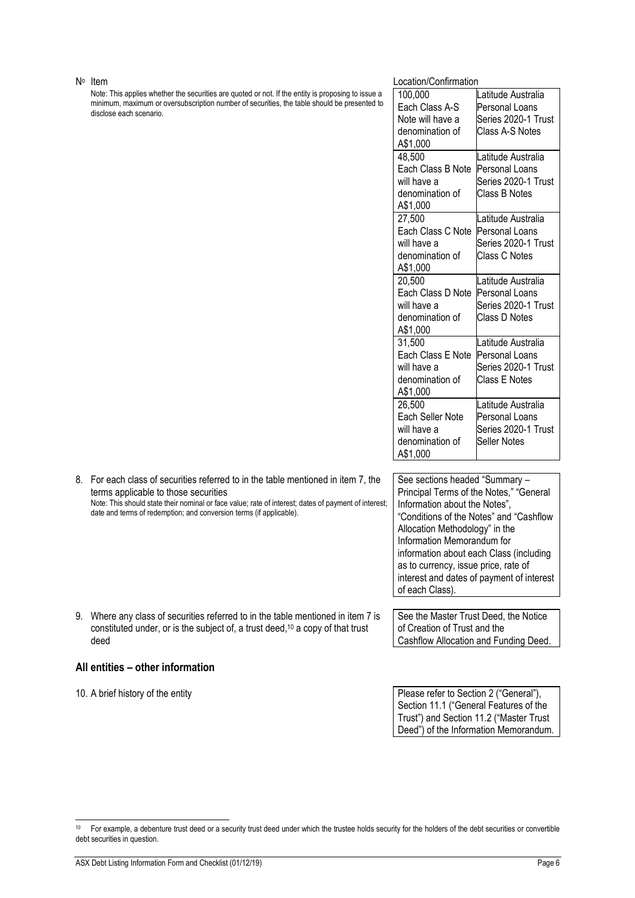Note: This applies whether the securities are quoted or not. If the entity is proposing to issue a minimum, maximum or oversubscription number of securities, the table should be presented to disclose each scenario.

### No Item Location/Confirmation

| 100,000<br>Latitude Australia<br>Each Class A-S<br>Personal Loans<br>Series 2020-1 Trust<br>Note will have a<br>Class A-S Notes<br>denomination of<br>A\$1,000<br>48.500<br>Latitude Australia<br>Each Class B Note<br>Personal Loans<br>Series 2020-1 Trust<br>will have a<br>denomination of<br>Class B Notes<br>A\$1,000<br>27,500<br>Latitude Australia<br>Each Class C Note<br>Personal Loans<br>Series 2020-1 Trust<br>will have a<br>Class C Notes<br>denomination of<br>A\$1,000<br>20,500<br>Latitude Australia<br>Each Class D Note<br>Personal Loans |             |                     |
|-----------------------------------------------------------------------------------------------------------------------------------------------------------------------------------------------------------------------------------------------------------------------------------------------------------------------------------------------------------------------------------------------------------------------------------------------------------------------------------------------------------------------------------------------------------------|-------------|---------------------|
|                                                                                                                                                                                                                                                                                                                                                                                                                                                                                                                                                                 |             |                     |
|                                                                                                                                                                                                                                                                                                                                                                                                                                                                                                                                                                 |             |                     |
|                                                                                                                                                                                                                                                                                                                                                                                                                                                                                                                                                                 |             |                     |
|                                                                                                                                                                                                                                                                                                                                                                                                                                                                                                                                                                 |             |                     |
|                                                                                                                                                                                                                                                                                                                                                                                                                                                                                                                                                                 |             |                     |
|                                                                                                                                                                                                                                                                                                                                                                                                                                                                                                                                                                 |             |                     |
|                                                                                                                                                                                                                                                                                                                                                                                                                                                                                                                                                                 |             |                     |
|                                                                                                                                                                                                                                                                                                                                                                                                                                                                                                                                                                 |             |                     |
|                                                                                                                                                                                                                                                                                                                                                                                                                                                                                                                                                                 |             |                     |
|                                                                                                                                                                                                                                                                                                                                                                                                                                                                                                                                                                 |             |                     |
|                                                                                                                                                                                                                                                                                                                                                                                                                                                                                                                                                                 |             |                     |
|                                                                                                                                                                                                                                                                                                                                                                                                                                                                                                                                                                 |             |                     |
|                                                                                                                                                                                                                                                                                                                                                                                                                                                                                                                                                                 |             |                     |
|                                                                                                                                                                                                                                                                                                                                                                                                                                                                                                                                                                 |             |                     |
|                                                                                                                                                                                                                                                                                                                                                                                                                                                                                                                                                                 |             |                     |
|                                                                                                                                                                                                                                                                                                                                                                                                                                                                                                                                                                 |             |                     |
|                                                                                                                                                                                                                                                                                                                                                                                                                                                                                                                                                                 |             |                     |
|                                                                                                                                                                                                                                                                                                                                                                                                                                                                                                                                                                 | will have a | Series 2020-1 Trust |
| Class D Notes<br>denomination of                                                                                                                                                                                                                                                                                                                                                                                                                                                                                                                                |             |                     |
| A\$1,000                                                                                                                                                                                                                                                                                                                                                                                                                                                                                                                                                        |             |                     |
| 31,500<br>Latitude Australia                                                                                                                                                                                                                                                                                                                                                                                                                                                                                                                                    |             |                     |
| Each Class E Note<br>Personal Loans                                                                                                                                                                                                                                                                                                                                                                                                                                                                                                                             |             |                     |
| Series 2020-1 Trust<br>will have a                                                                                                                                                                                                                                                                                                                                                                                                                                                                                                                              |             |                     |
| Class E Notes<br>denomination of                                                                                                                                                                                                                                                                                                                                                                                                                                                                                                                                |             |                     |
| A\$1,000                                                                                                                                                                                                                                                                                                                                                                                                                                                                                                                                                        |             |                     |
| 26,500<br>Latitude Australia                                                                                                                                                                                                                                                                                                                                                                                                                                                                                                                                    |             |                     |
| <b>Each Seller Note</b><br>Personal Loans                                                                                                                                                                                                                                                                                                                                                                                                                                                                                                                       |             |                     |
| will have a<br>Series 2020-1 Trust                                                                                                                                                                                                                                                                                                                                                                                                                                                                                                                              |             |                     |
| denomination of<br>Seller Notes                                                                                                                                                                                                                                                                                                                                                                                                                                                                                                                                 |             |                     |
| A\$1,000                                                                                                                                                                                                                                                                                                                                                                                                                                                                                                                                                        |             |                     |

| 8. For each class of securities referred to in the table mentioned in item 7, the |
|-----------------------------------------------------------------------------------|
| terms applicable to those securities                                              |

Note: This should state their nominal or face value; rate of interest; dates of payment of interest; date and terms of redemption; and conversion terms (if applicable).

9. Where any class of securities referred to in the table mentioned in item 7 is constituted under, or is the subject of, a trust deed,10 a copy of that trust deed

### **All entities – other information**

j

See sections headed "Summary – Principal Terms of the Notes," "General Information about the Notes", "Conditions of the Notes" and "Cashflow Allocation Methodology" in the Information Memorandum for information about each Class (including as to currency, issue price, rate of interest and dates of payment of interest of each Class).

See the Master Trust Deed, the Notice of Creation of Trust and the Cashflow Allocation and Funding Deed.

10. A brief history of the entity **Please refer to Section 2** ("General"), Section 11.1 ("General Features of the Trust") and Section 11.2 ("Master Trust Deed") of the Information Memorandum.

<sup>&</sup>lt;sup>10</sup> For example, a debenture trust deed or a security trust deed under which the trustee holds security for the holders of the debt securities or convertible debt securities in question.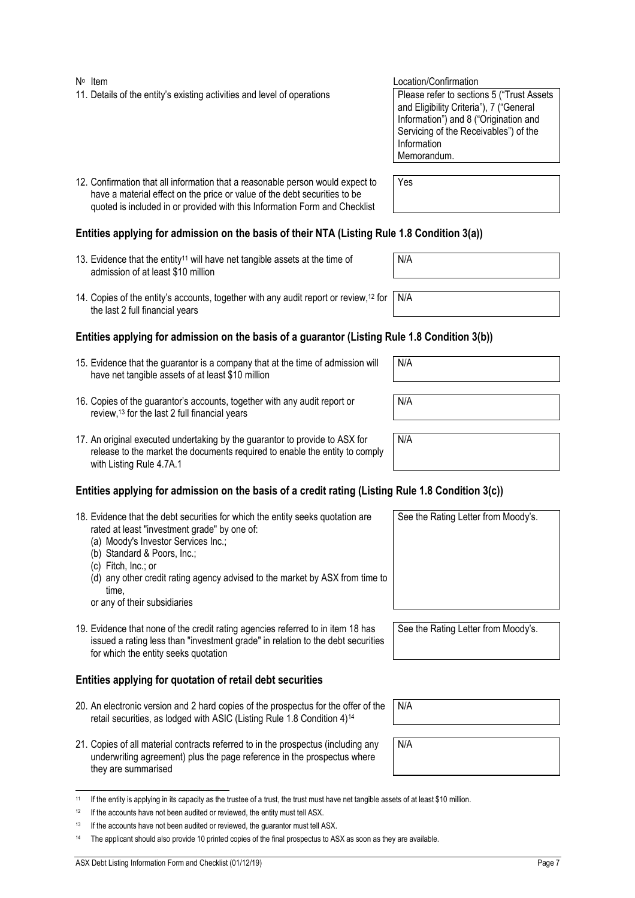- No Item  $\mathbb{N}^{\circ}$  Location/Confirmation 11. Details of the entity's existing activities and level of operations Please refer to sections 5 ("Trust Assets")
- 12. Confirmation that all information that a reasonable person would expect to have a material effect on the price or value of the debt securities to be quoted is included in or provided with this Information Form and Checklist

### **Entities applying for admission on the basis of their NTA (Listing Rule 1.8 Condition 3(a))**

- 13. Evidence that the entity<sup>11</sup> will have net tangible assets at the time of admission of at least \$10 million
- 14. Copies of the entity's accounts, together with any audit report or review,12 for the last 2 full financial years

### **Entities applying for admission on the basis of a guarantor (Listing Rule 1.8 Condition 3(b))**

- 15. Evidence that the guarantor is a company that at the time of admission will have net tangible assets of at least \$10 million
- 16. Copies of the guarantor's accounts, together with any audit report or review,13 for the last 2 full financial years
- 17. An original executed undertaking by the guarantor to provide to ASX for release to the market the documents required to enable the entity to comply with Listing Rule 4.7A.1

### **Entities applying for admission on the basis of a credit rating (Listing Rule 1.8 Condition 3(c))**

| 18. Evidence that the debt securities for which the entity seeks quotation are<br>rated at least "investment grade" by one of:<br>(a) Moody's Investor Services Inc.;<br>(b) Standard & Poors, Inc.;<br>(c) Fitch, Inc.; or<br>(d) any other credit rating agency advised to the market by ASX from time to<br>time.<br>or any of their subsidiaries | See the Rating Letter from Moody's. |
|------------------------------------------------------------------------------------------------------------------------------------------------------------------------------------------------------------------------------------------------------------------------------------------------------------------------------------------------------|-------------------------------------|
| 19. Evidence that none of the credit rating agencies referred to in item 18 has<br>issued a rating less than "investment grade" in relation to the debt securities<br>for which the entity seeks quotation                                                                                                                                           | See the Rating Letter from Moody's. |

### **Entities applying for quotation of retail debt securities**

- 20. An electronic version and 2 hard copies of the prospectus for the offer of the retail securities, as lodged with ASIC (Listing Rule 1.8 Condition 4)14
- 21. Copies of all material contracts referred to in the prospectus (including any underwriting agreement) plus the page reference in the prospectus where they are summarised

|  | <sup>11</sup> If the entity is applying in its capacity as the trustee of a trust, the trust must have net tangible assets of at least \$10 million. |
|--|------------------------------------------------------------------------------------------------------------------------------------------------------|

| <sup>12</sup> If the accounts have not been audited or reviewed, the entity must tell ASX. |  |
|--------------------------------------------------------------------------------------------|--|
|--------------------------------------------------------------------------------------------|--|

N/A

N/A

and Eligibility Criteria"), 7 ("General Information") and 8 ("Origination and Servicing of the Receivables") of the

Information Memorandum.

Yes

N/A

N/A

N/A

N/A

N/A

 $13$  If the accounts have not been audited or reviewed, the quarantor must tell ASX.

<sup>&</sup>lt;sup>14</sup> The applicant should also provide 10 printed copies of the final prospectus to ASX as soon as they are available.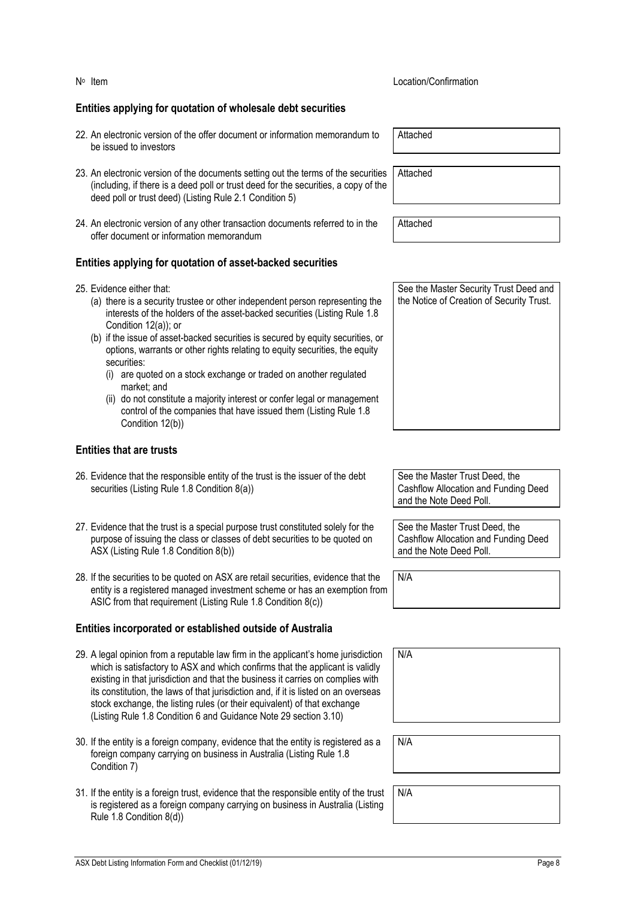### **Entities applying for quotation of wholesale debt securities**

- 22. An electronic version of the offer document or information memorandum to be issued to investors
- 23. An electronic version of the documents setting out the terms of the securities (including, if there is a deed poll or trust deed for the securities, a copy of the deed poll or trust deed) (Listing Rule 2.1 Condition 5)
- 24. An electronic version of any other transaction documents referred to in the offer document or information memorandum

### **Entities applying for quotation of asset-backed securities**

- 25. Evidence either that:
	- (a) there is a security trustee or other independent person representing the interests of the holders of the asset-backed securities (Listing Rule 1.8 Condition 12(a)); or
	- (b) if the issue of asset-backed securities is secured by equity securities, or options, warrants or other rights relating to equity securities, the equity securities:
		- (i) are quoted on a stock exchange or traded on another regulated market; and
		- (ii) do not constitute a majority interest or confer legal or management control of the companies that have issued them (Listing Rule 1.8 Condition 12(b))

### **Entities that are trusts**

- 26. Evidence that the responsible entity of the trust is the issuer of the debt securities (Listing Rule 1.8 Condition 8(a))
- 27. Evidence that the trust is a special purpose trust constituted solely for the purpose of issuing the class or classes of debt securities to be quoted on ASX (Listing Rule 1.8 Condition 8(b))
- 28. If the securities to be quoted on ASX are retail securities, evidence that the entity is a registered managed investment scheme or has an exemption from ASIC from that requirement (Listing Rule 1.8 Condition 8(c))

### **Entities incorporated or established outside of Australia**

- 29. A legal opinion from a reputable law firm in the applicant's home jurisdiction which is satisfactory to ASX and which confirms that the applicant is validly existing in that jurisdiction and that the business it carries on complies with its constitution, the laws of that jurisdiction and, if it is listed on an overseas stock exchange, the listing rules (or their equivalent) of that exchange (Listing Rule 1.8 Condition 6 and Guidance Note 29 section 3.10)
- 30. If the entity is a foreign company, evidence that the entity is registered as a foreign company carrying on business in Australia (Listing Rule 1.8 Condition 7)
- 31. If the entity is a foreign trust, evidence that the responsible entity of the trust is registered as a foreign company carrying on business in Australia (Listing Rule 1.8 Condition 8(d))

Attached

Attached

**Attached** 

See the Master Security Trust Deed and the Notice of Creation of Security Trust.

See the Master Trust Deed, the Cashflow Allocation and Funding Deed and the Note Deed Poll.

See the Master Trust Deed, the Cashflow Allocation and Funding Deed and the Note Deed Poll.

N/A

N/A

N/A

N/A

### No Item Location/Confirmation